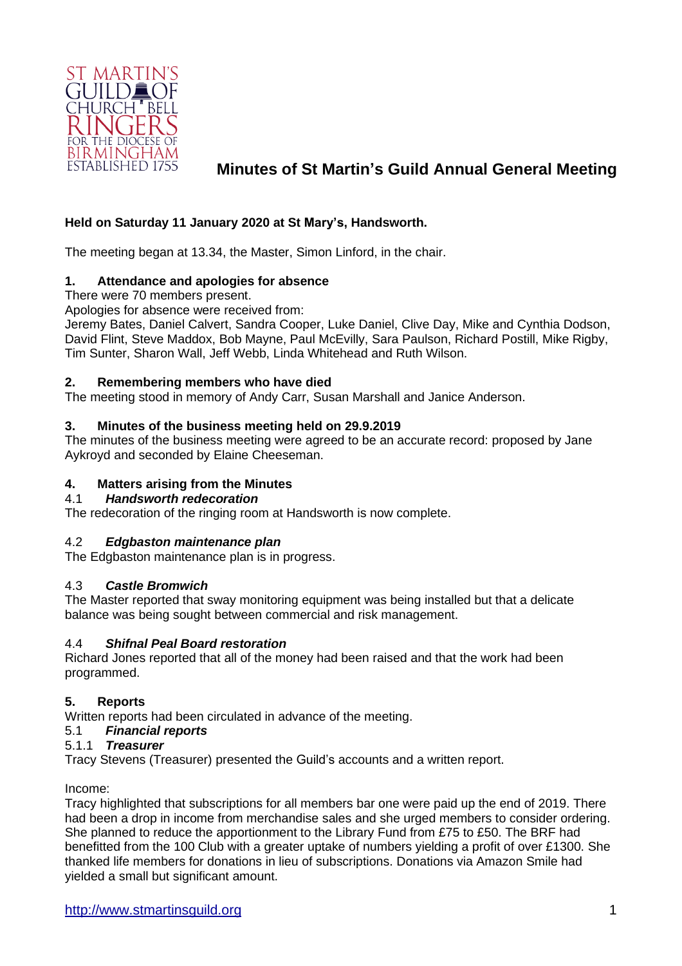

# **Minutes of St Martin's Guild Annual General Meeting**

# **Held on Saturday 11 January 2020 at St Mary's, Handsworth.**

The meeting began at 13.34, the Master, Simon Linford, in the chair.

# **1. Attendance and apologies for absence**

There were 70 members present.

Apologies for absence were received from:

Jeremy Bates, Daniel Calvert, Sandra Cooper, Luke Daniel, Clive Day, Mike and Cynthia Dodson, David Flint, Steve Maddox, Bob Mayne, Paul McEvilly, Sara Paulson, Richard Postill, Mike Rigby, Tim Sunter, Sharon Wall, Jeff Webb, Linda Whitehead and Ruth Wilson.

# **2. Remembering members who have died**

The meeting stood in memory of Andy Carr, Susan Marshall and Janice Anderson.

# **3. Minutes of the business meeting held on 29.9.2019**

The minutes of the business meeting were agreed to be an accurate record: proposed by Jane Aykroyd and seconded by Elaine Cheeseman.

# **4. Matters arising from the Minutes**

# 4.1 *Handsworth redecoration*

The redecoration of the ringing room at Handsworth is now complete.

# 4.2 *Edgbaston maintenance plan*

The Edgbaston maintenance plan is in progress.

# 4.3 *Castle Bromwich*

The Master reported that sway monitoring equipment was being installed but that a delicate balance was being sought between commercial and risk management.

# 4.4 *Shifnal Peal Board restoration*

Richard Jones reported that all of the money had been raised and that the work had been programmed.

# **5. Reports**

Written reports had been circulated in advance of the meeting.

# 5.1 *Financial reports*

# 5.1.1 *Treasurer*

Tracy Stevens (Treasurer) presented the Guild's accounts and a written report.

Income:

Tracy highlighted that subscriptions for all members bar one were paid up the end of 2019. There had been a drop in income from merchandise sales and she urged members to consider ordering. She planned to reduce the apportionment to the Library Fund from £75 to £50. The BRF had benefitted from the 100 Club with a greater uptake of numbers yielding a profit of over £1300. She thanked life members for donations in lieu of subscriptions. Donations via Amazon Smile had yielded a small but significant amount.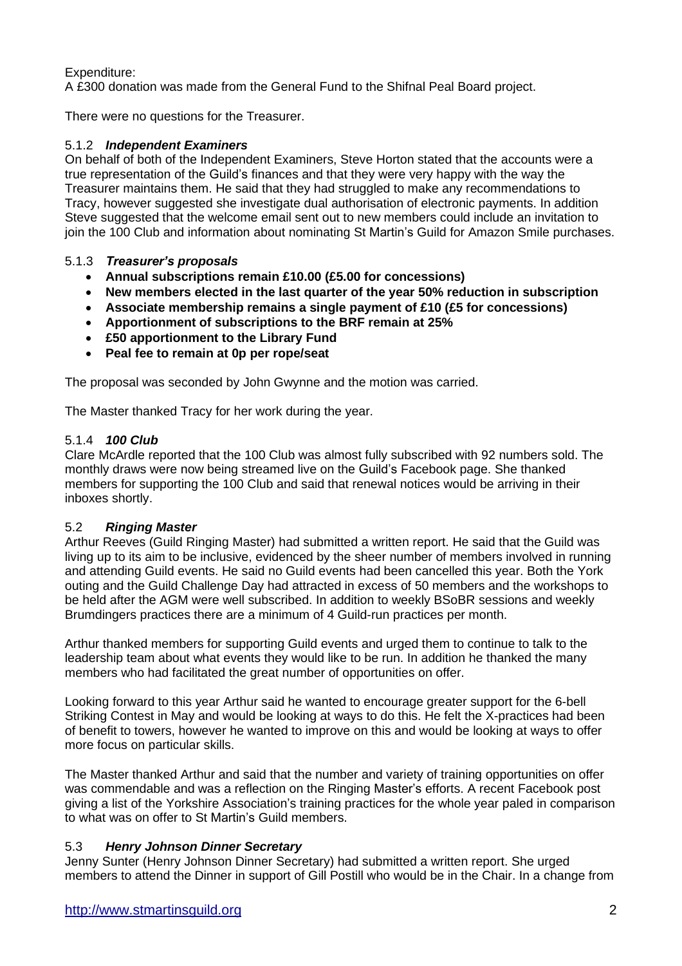# Expenditure:

A £300 donation was made from the General Fund to the Shifnal Peal Board project.

There were no questions for the Treasurer.

# 5.1.2 *Independent Examiners*

On behalf of both of the Independent Examiners, Steve Horton stated that the accounts were a true representation of the Guild's finances and that they were very happy with the way the Treasurer maintains them. He said that they had struggled to make any recommendations to Tracy, however suggested she investigate dual authorisation of electronic payments. In addition Steve suggested that the welcome email sent out to new members could include an invitation to join the 100 Club and information about nominating St Martin's Guild for Amazon Smile purchases.

# 5.1.3 *Treasurer's proposals*

- **Annual subscriptions remain £10.00 (£5.00 for concessions)**
- **New members elected in the last quarter of the year 50% reduction in subscription**
- **Associate membership remains a single payment of £10 (£5 for concessions)**
- **Apportionment of subscriptions to the BRF remain at 25%**
- **£50 apportionment to the Library Fund**
- **Peal fee to remain at 0p per rope/seat**

The proposal was seconded by John Gwynne and the motion was carried.

The Master thanked Tracy for her work during the year.

# 5.1.4 *100 Club*

Clare McArdle reported that the 100 Club was almost fully subscribed with 92 numbers sold. The monthly draws were now being streamed live on the Guild's Facebook page. She thanked members for supporting the 100 Club and said that renewal notices would be arriving in their inboxes shortly.

# 5.2 *Ringing Master*

Arthur Reeves (Guild Ringing Master) had submitted a written report. He said that the Guild was living up to its aim to be inclusive, evidenced by the sheer number of members involved in running and attending Guild events. He said no Guild events had been cancelled this year. Both the York outing and the Guild Challenge Day had attracted in excess of 50 members and the workshops to be held after the AGM were well subscribed. In addition to weekly BSoBR sessions and weekly Brumdingers practices there are a minimum of 4 Guild-run practices per month.

Arthur thanked members for supporting Guild events and urged them to continue to talk to the leadership team about what events they would like to be run. In addition he thanked the many members who had facilitated the great number of opportunities on offer.

Looking forward to this year Arthur said he wanted to encourage greater support for the 6-bell Striking Contest in May and would be looking at ways to do this. He felt the X-practices had been of benefit to towers, however he wanted to improve on this and would be looking at ways to offer more focus on particular skills.

The Master thanked Arthur and said that the number and variety of training opportunities on offer was commendable and was a reflection on the Ringing Master's efforts. A recent Facebook post giving a list of the Yorkshire Association's training practices for the whole year paled in comparison to what was on offer to St Martin's Guild members.

# 5.3 *Henry Johnson Dinner Secretary*

Jenny Sunter (Henry Johnson Dinner Secretary) had submitted a written report. She urged members to attend the Dinner in support of Gill Postill who would be in the Chair. In a change from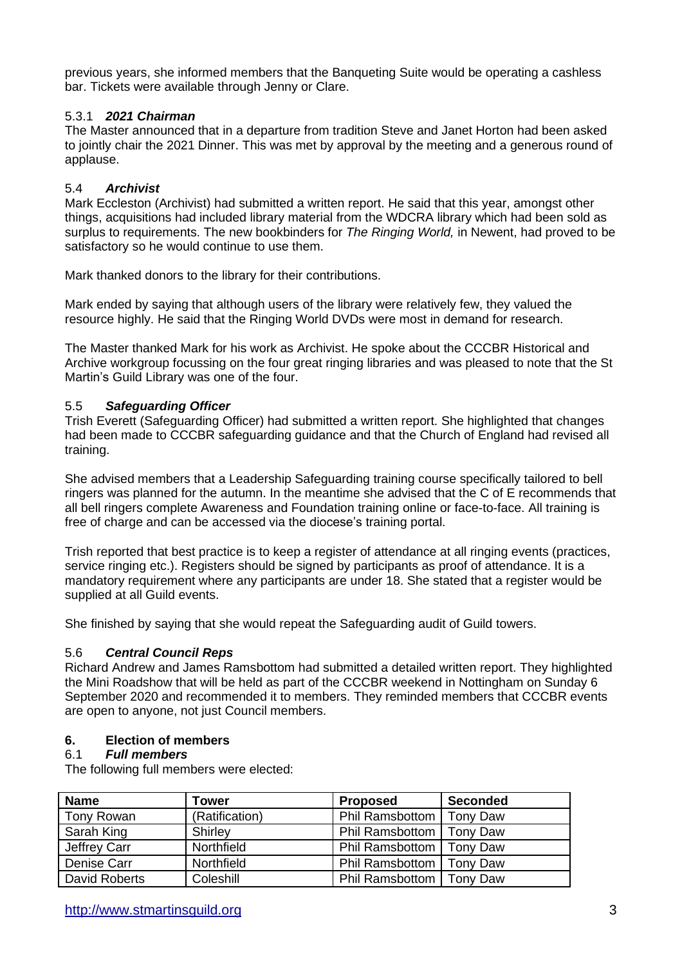previous years, she informed members that the Banqueting Suite would be operating a cashless bar. Tickets were available through Jenny or Clare.

# 5.3.1 *2021 Chairman*

The Master announced that in a departure from tradition Steve and Janet Horton had been asked to jointly chair the 2021 Dinner. This was met by approval by the meeting and a generous round of applause.

# 5.4 *Archivist*

Mark Eccleston (Archivist) had submitted a written report. He said that this year, amongst other things, acquisitions had included library material from the WDCRA library which had been sold as surplus to requirements. The new bookbinders for *The Ringing World,* in Newent, had proved to be satisfactory so he would continue to use them.

Mark thanked donors to the library for their contributions.

Mark ended by saying that although users of the library were relatively few, they valued the resource highly. He said that the Ringing World DVDs were most in demand for research.

The Master thanked Mark for his work as Archivist. He spoke about the CCCBR Historical and Archive workgroup focussing on the four great ringing libraries and was pleased to note that the St Martin's Guild Library was one of the four.

# 5.5 *Safeguarding Officer*

Trish Everett (Safeguarding Officer) had submitted a written report. She highlighted that changes had been made to CCCBR safeguarding guidance and that the Church of England had revised all training.

She advised members that a Leadership Safeguarding training course specifically tailored to bell ringers was planned for the autumn. In the meantime she advised that the C of E recommends that all bell ringers complete Awareness and Foundation training online or face-to-face. All training is free of charge and can be accessed via the diocese's training portal.

Trish reported that best practice is to keep a register of attendance at all ringing events (practices, service ringing etc.). Registers should be signed by participants as proof of attendance. It is a mandatory requirement where any participants are under 18. She stated that a register would be supplied at all Guild events.

She finished by saying that she would repeat the Safeguarding audit of Guild towers.

# 5.6 *Central Council Reps*

Richard Andrew and James Ramsbottom had submitted a detailed written report. They highlighted the Mini Roadshow that will be held as part of the CCCBR weekend in Nottingham on Sunday 6 September 2020 and recommended it to members. They reminded members that CCCBR events are open to anyone, not just Council members.

# **6. Election of members**

# 6.1 *Full members*

The following full members were elected:

| <b>Name</b>   | Tower          | <b>Proposed</b>            | <b>Seconded</b> |
|---------------|----------------|----------------------------|-----------------|
| Tony Rowan    | (Ratification) | Phil Ramsbottom            | Tony Daw        |
| Sarah King    | Shirley        | Phil Ramsbottom   Tony Daw |                 |
| Jeffrey Carr  | Northfield     | Phil Ramsbottom   Tony Daw |                 |
| Denise Carr   | Northfield     | Phil Ramsbottom            | Tony Daw        |
| David Roberts | Coleshill      | Phil Ramsbottom   Tony Daw |                 |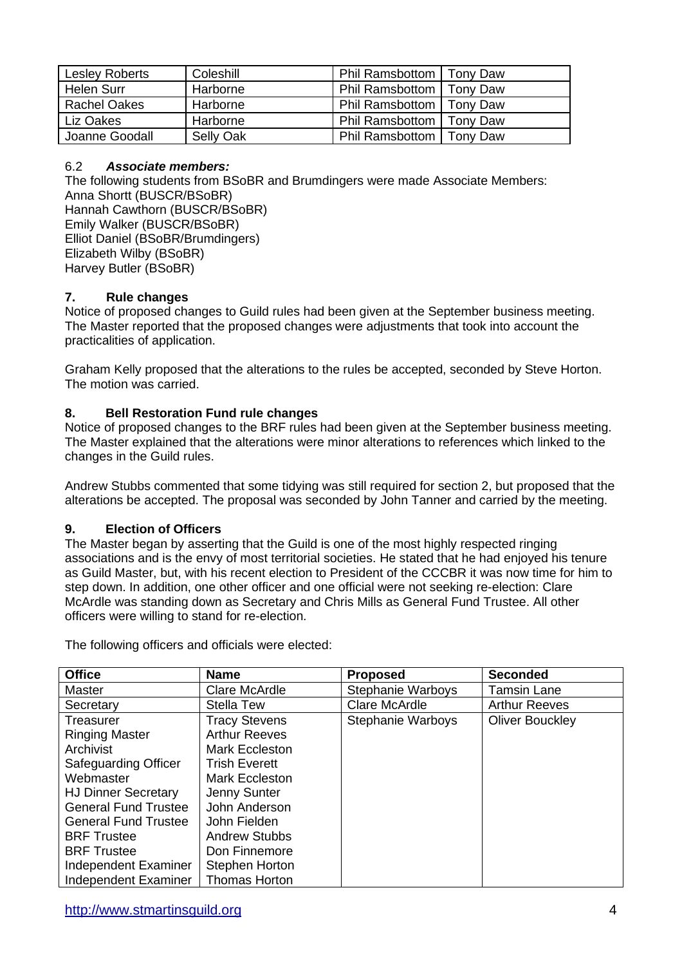| <b>Lesley Roberts</b> | Coleshill | Phil Ramsbottom   Tony Daw |  |
|-----------------------|-----------|----------------------------|--|
| Helen Surr            | Harborne  | Phil Ramsbottom   Tony Daw |  |
| <b>Rachel Oakes</b>   | Harborne  | Phil Ramsbottom   Tony Daw |  |
| Liz Oakes             | Harborne  | Phil Ramsbottom   Tony Daw |  |
| Joanne Goodall        | Selly Oak | Phil Ramsbottom   Tony Daw |  |

# 6.2 *Associate members:*

The following students from BSoBR and Brumdingers were made Associate Members: Anna Shortt (BUSCR/BSoBR) Hannah Cawthorn (BUSCR/BSoBR) Emily Walker (BUSCR/BSoBR) Elliot Daniel (BSoBR/Brumdingers) Elizabeth Wilby (BSoBR) Harvey Butler (BSoBR)

# **7. Rule changes**

Notice of proposed changes to Guild rules had been given at the September business meeting. The Master reported that the proposed changes were adjustments that took into account the practicalities of application.

Graham Kelly proposed that the alterations to the rules be accepted, seconded by Steve Horton. The motion was carried.

# **8. Bell Restoration Fund rule changes**

Notice of proposed changes to the BRF rules had been given at the September business meeting. The Master explained that the alterations were minor alterations to references which linked to the changes in the Guild rules.

Andrew Stubbs commented that some tidying was still required for section 2, but proposed that the alterations be accepted. The proposal was seconded by John Tanner and carried by the meeting.

# **9. Election of Officers**

The Master began by asserting that the Guild is one of the most highly respected ringing associations and is the envy of most territorial societies. He stated that he had enjoyed his tenure as Guild Master, but, with his recent election to President of the CCCBR it was now time for him to step down. In addition, one other officer and one official were not seeking re-election: Clare McArdle was standing down as Secretary and Chris Mills as General Fund Trustee. All other officers were willing to stand for re-election.

The following officers and officials were elected:

| <b>Office</b>               | <b>Name</b>           | <b>Proposed</b>          | <b>Seconded</b>        |
|-----------------------------|-----------------------|--------------------------|------------------------|
| Master                      | Clare McArdle         | <b>Stephanie Warboys</b> | <b>Tamsin Lane</b>     |
| Secretary                   | <b>Stella Tew</b>     | Clare McArdle            | <b>Arthur Reeves</b>   |
| <b>Treasurer</b>            | <b>Tracy Stevens</b>  | <b>Stephanie Warboys</b> | <b>Oliver Bouckley</b> |
| <b>Ringing Master</b>       | <b>Arthur Reeves</b>  |                          |                        |
| Archivist                   | Mark Eccleston        |                          |                        |
| <b>Safeguarding Officer</b> | <b>Trish Everett</b>  |                          |                        |
| Webmaster                   | Mark Eccleston        |                          |                        |
| <b>HJ Dinner Secretary</b>  | Jenny Sunter          |                          |                        |
| <b>General Fund Trustee</b> | John Anderson         |                          |                        |
| <b>General Fund Trustee</b> | John Fielden          |                          |                        |
| <b>BRF</b> Trustee          | <b>Andrew Stubbs</b>  |                          |                        |
| <b>BRF Trustee</b>          | Don Finnemore         |                          |                        |
| Independent Examiner        | <b>Stephen Horton</b> |                          |                        |
| Independent Examiner        | <b>Thomas Horton</b>  |                          |                        |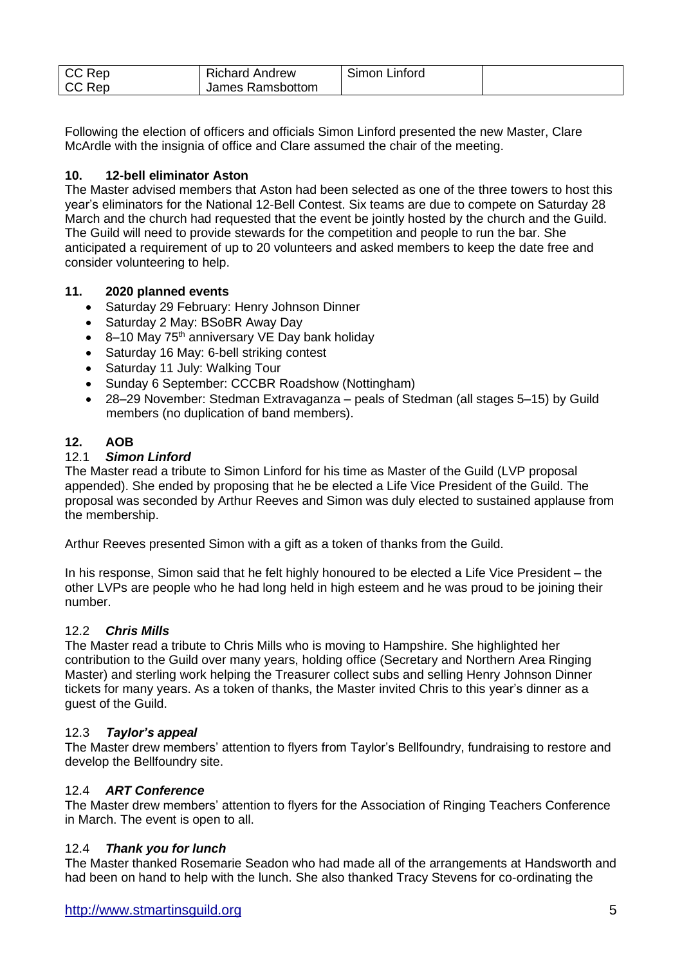| CC Rep | <b>Richard Andrew</b> | Simon Linford |  |
|--------|-----------------------|---------------|--|
| CC Rep | James Ramsbottom      |               |  |

Following the election of officers and officials Simon Linford presented the new Master, Clare McArdle with the insignia of office and Clare assumed the chair of the meeting.

# **10. 12-bell eliminator Aston**

The Master advised members that Aston had been selected as one of the three towers to host this year's eliminators for the National 12-Bell Contest. Six teams are due to compete on Saturday 28 March and the church had requested that the event be jointly hosted by the church and the Guild. The Guild will need to provide stewards for the competition and people to run the bar. She anticipated a requirement of up to 20 volunteers and asked members to keep the date free and consider volunteering to help.

# **11. 2020 planned events**

- Saturday 29 February: Henry Johnson Dinner
- Saturday 2 May: BSoBR Away Day
- $\bullet$  8–10 May 75<sup>th</sup> anniversary VE Day bank holiday
- Saturday 16 May: 6-bell striking contest
- Saturday 11 July: Walking Tour
- Sunday 6 September: CCCBR Roadshow (Nottingham)
- 28–29 November: Stedman Extravaganza peals of Stedman (all stages 5–15) by Guild members (no duplication of band members).

# **12. AOB**

# 12.1 *Simon Linford*

The Master read a tribute to Simon Linford for his time as Master of the Guild (LVP proposal appended). She ended by proposing that he be elected a Life Vice President of the Guild. The proposal was seconded by Arthur Reeves and Simon was duly elected to sustained applause from the membership.

Arthur Reeves presented Simon with a gift as a token of thanks from the Guild.

In his response, Simon said that he felt highly honoured to be elected a Life Vice President – the other LVPs are people who he had long held in high esteem and he was proud to be joining their number.

# 12.2 *Chris Mills*

The Master read a tribute to Chris Mills who is moving to Hampshire. She highlighted her contribution to the Guild over many years, holding office (Secretary and Northern Area Ringing Master) and sterling work helping the Treasurer collect subs and selling Henry Johnson Dinner tickets for many years. As a token of thanks, the Master invited Chris to this year's dinner as a guest of the Guild.

# 12.3 *Taylor's appeal*

The Master drew members' attention to flyers from Taylor's Bellfoundry, fundraising to restore and develop the Bellfoundry site.

# 12.4 *ART Conference*

The Master drew members' attention to flyers for the Association of Ringing Teachers Conference in March. The event is open to all.

# 12.4 *Thank you for lunch*

The Master thanked Rosemarie Seadon who had made all of the arrangements at Handsworth and had been on hand to help with the lunch. She also thanked Tracy Stevens for co-ordinating the